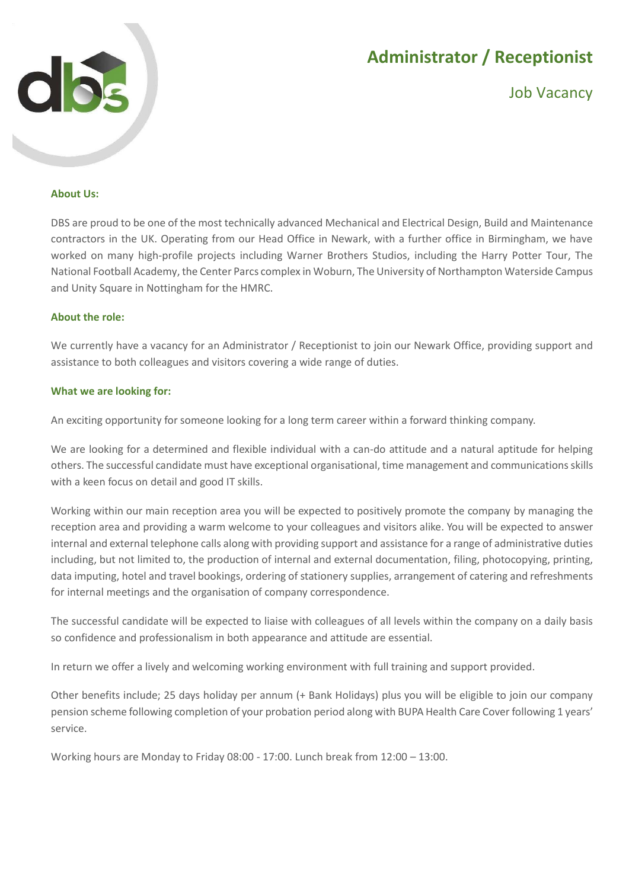

# **Administrator / Receptionist**

Job Vacancy

### **About Us:**

DBS are proud to be one of the most technically advanced Mechanical and Electrical Design, Build and Maintenance contractors in the UK. Operating from our Head Office in Newark, with a further office in Birmingham, we have worked on many high-profile projects including Warner Brothers Studios, including the Harry Potter Tour, The National Football Academy, the Center Parcs complex in Woburn, The University of Northampton Waterside Campus and Unity Square in Nottingham for the HMRC.

#### **About the role:**

We currently have a vacancy for an Administrator / Receptionist to join our Newark Office, providing support and assistance to both colleagues and visitors covering a wide range of duties.

#### **What we are looking for:**

An exciting opportunity for someone looking for a long term career within a forward thinking company.

We are looking for a determined and flexible individual with a can-do attitude and a natural aptitude for helping others. The successful candidate must have exceptional organisational, time management and communications skills with a keen focus on detail and good IT skills.

Working within our main reception area you will be expected to positively promote the company by managing the reception area and providing a warm welcome to your colleagues and visitors alike. You will be expected to answer internal and external telephone calls along with providing support and assistance for a range of administrative duties including, but not limited to, the production of internal and external documentation, filing, photocopying, printing, data imputing, hotel and travel bookings, ordering of stationery supplies, arrangement of catering and refreshments for internal meetings and the organisation of company correspondence.

The successful candidate will be expected to liaise with colleagues of all levels within the company on a daily basis so confidence and professionalism in both appearance and attitude are essential.

In return we offer a lively and welcoming working environment with full training and support provided.

Other benefits include; 25 days holiday per annum (+ Bank Holidays) plus you will be eligible to join our company pension scheme following completion of your probation period along with BUPA Health Care Cover following 1 years' service.

Working hours are Monday to Friday 08:00 - 17:00. Lunch break from 12:00 – 13:00.